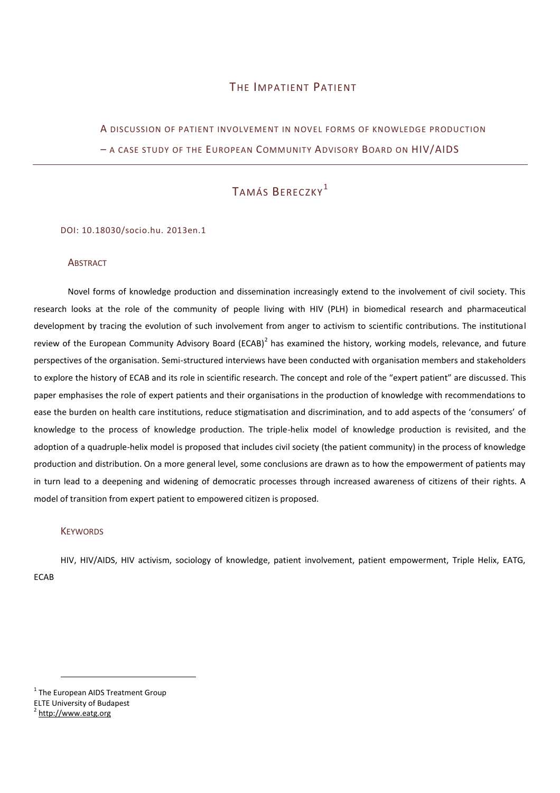## THE IMPATIENT PATIENT

A DISCUSSION OF PATIENT INVOLVEMENT IN NOVEL FORMS OF KNOWLEDGE PRODUCTION – A CASE STUDY OF THE EUROPEAN COMMUNITY ADVISORY BOARD ON HIV/AIDS

## TAMÁS BERECZKY<sup>1</sup>

#### DOI: 10.18030/socio.hu. 2013en.1

#### **ABSTRACT**

Novel forms of knowledge production and dissemination increasingly extend to the involvement of civil society. This research looks at the role of the community of people living with HIV (PLH) in biomedical research and pharmaceutical development by tracing the evolution of such involvement from anger to activism to scientific contributions. The institutional review of the European Community Advisory Board (ECAB)<sup>2</sup> has examined the history, working models, relevance, and future perspectives of the organisation. Semi-structured interviews have been conducted with organisation members and stakeholders to explore the history of ECAB and its role in scientific research. The concept and role of the "expert patient" are discussed. This paper emphasises the role of expert patients and their organisations in the production of knowledge with recommendations to ease the burden on health care institutions, reduce stigmatisation and discrimination, and to add aspects of the 'consumers' of knowledge to the process of knowledge production. The triple-helix model of knowledge production is revisited, and the adoption of a quadruple-helix model is proposed that includes civil society (the patient community) in the process of knowledge production and distribution. On a more general level, some conclusions are drawn as to how the empowerment of patients may in turn lead to a deepening and widening of democratic processes through increased awareness of citizens of their rights. A model of transition from expert patient to empowered citizen is proposed.

#### **KEYWORDS**

HIV, HIV/AIDS, HIV activism, sociology of knowledge, patient involvement, patient empowerment, Triple Helix, EATG, ECAB

<sup>&</sup>lt;sup>1</sup> The European AIDS Treatment Group

ELTE University of Budapest

<sup>&</sup>lt;sup>2</sup> [http://www.eatg.org](file:///D:/socio.hu/AppData/Local/Microsoft/Windows/Temporary%20Internet%20Files/Content.IE5/I483J751/%22)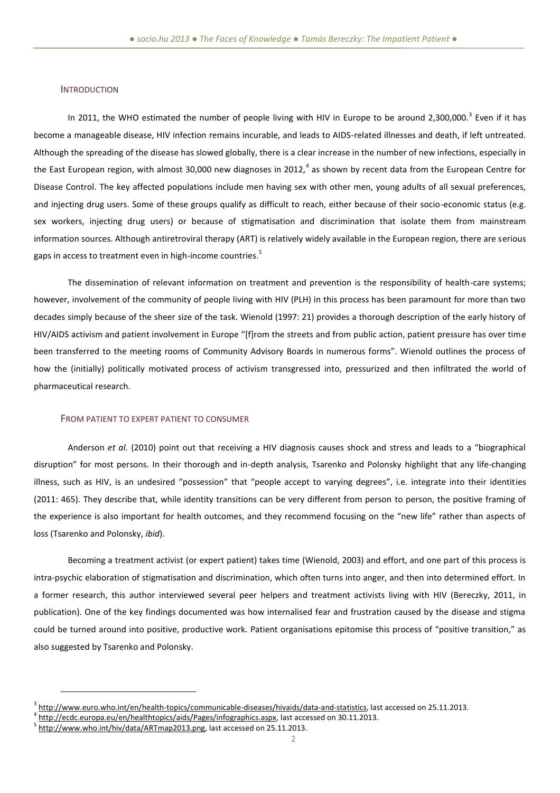#### **INTRODUCTION**

In 2011, the WHO estimated the number of people living with HIV in Europe to be around 2,300,000.<sup>3</sup> Even if it has become a manageable disease, HIV infection remains incurable, and leads to AIDS-related illnesses and death, if left untreated. Although the spreading of the disease has slowed globally, there is a clear increase in the number of new infections, especially in the East European region, with almost 30,000 new diagnoses in 2012, $^4$  as shown by recent data from the European Centre for Disease Control. The key affected populations include men having sex with other men, young adults of all sexual preferences, and injecting drug users. Some of these groups qualify as difficult to reach, either because of their socio-economic status (e.g. sex workers, injecting drug users) or because of stigmatisation and discrimination that isolate them from mainstream information sources. Although antiretroviral therapy (ART) is relatively widely available in the European region, there are serious gaps in access to treatment even in high-income countries.<sup>5</sup>

The dissemination of relevant information on treatment and prevention is the responsibility of health-care systems; however, involvement of the community of people living with HIV (PLH) in this process has been paramount for more than two decades simply because of the sheer size of the task. Wienold (1997: 21) provides a thorough description of the early history of HIV/AIDS activism and patient involvement in Europe "[f]rom the streets and from public action, patient pressure has over time been transferred to the meeting rooms of Community Advisory Boards in numerous forms". Wienold outlines the process of how the (initially) politically motivated process of activism transgressed into, pressurized and then infiltrated the world of pharmaceutical research.

#### FROM PATIENT TO EXPERT PATIENT TO CONSUMER

Anderson *et al.* (2010) point out that receiving a HIV diagnosis causes shock and stress and leads to a "biographical disruption" for most persons. In their thorough and in-depth analysis, Tsarenko and Polonsky highlight that any life-changing illness, such as HIV, is an undesired "possession" that "people accept to varying degrees", i.e. integrate into their identities (2011: 465). They describe that, while identity transitions can be very different from person to person, the positive framing of the experience is also important for health outcomes, and they recommend focusing on the "new life" rather than aspects of loss (Tsarenko and Polonsky, *ibid*).

Becoming a treatment activist (or expert patient) takes time (Wienold, 2003) and effort, and one part of this process is intra-psychic elaboration of stigmatisation and discrimination, which often turns into anger, and then into determined effort. In a former research, this author interviewed several peer helpers and treatment activists living with HIV (Bereczky, 2011, in publication). One of the key findings documented was how internalised fear and frustration caused by the disease and stigma could be turned around into positive, productive work. Patient organisations epitomise this process of "positive transition," as also suggested by Tsarenko and Polonsky.

<sup>&</sup>lt;sup>3</sup> [http://www.euro.who.int/en/health-topics/communicable-diseases/hivaids/data-and-statistics,](http://www.euro.who.int/en/health-topics/communicable-diseases/hivaids/data-and-statistics) last accessed on 25.11.2013.

<sup>&</sup>lt;sup>4</sup> [http://ecdc.europa.eu/en/healthtopics/aids/Pages/infographics.aspx,](http://ecdc.europa.eu/en/healthtopics/aids/Pages/infographics.aspx) last accessed on 30.11.2013.

<sup>&</sup>lt;sup>5</sup> [http://www.who.int/hiv/data/ARTmap2013.png,](http://www.who.int/hiv/data/ARTmap2013.png) last accessed on 25.11.2013.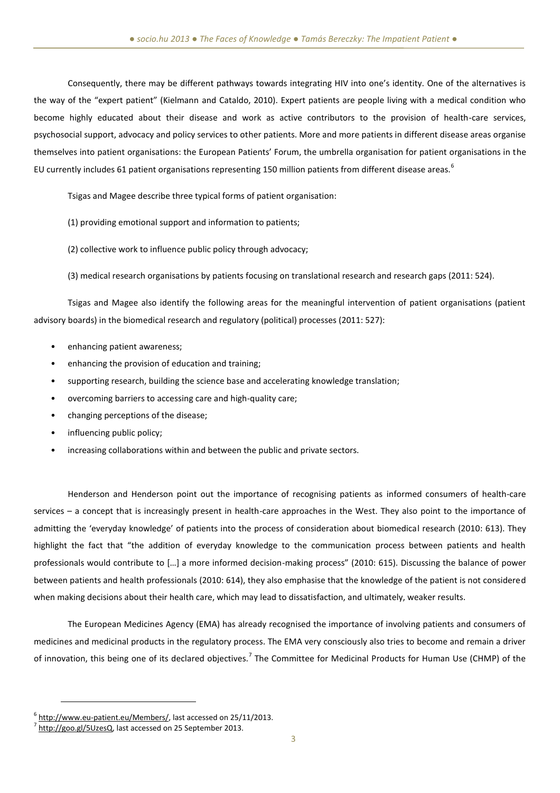Consequently, there may be different pathways towards integrating HIV into one's identity. One of the alternatives is the way of the "expert patient" (Kielmann and Cataldo, 2010). Expert patients are people living with a medical condition who become highly educated about their disease and work as active contributors to the provision of health-care services, psychosocial support, advocacy and policy services to other patients. More and more patients in different disease areas organise themselves into patient organisations: the European Patients' Forum, the umbrella organisation for patient organisations in the EU currently includes 61 patient organisations representing 150 million patients from different disease areas.<sup>6</sup>

Tsigas and Magee describe three typical forms of patient organisation:

(1) providing emotional support and information to patients;

(2) collective work to influence public policy through advocacy;

(3) medical research organisations by patients focusing on translational research and research gaps (2011: 524).

Tsigas and Magee also identify the following areas for the meaningful intervention of patient organisations (patient advisory boards) in the biomedical research and regulatory (political) processes (2011: 527):

- enhancing patient awareness;
- enhancing the provision of education and training;
- supporting research, building the science base and accelerating knowledge translation;
- overcoming barriers to accessing care and high-quality care;
- changing perceptions of the disease;
- influencing public policy;
- increasing collaborations within and between the public and private sectors.

Henderson and Henderson point out the importance of recognising patients as informed consumers of health-care services – a concept that is increasingly present in health-care approaches in the West. They also point to the importance of admitting the 'everyday knowledge' of patients into the process of consideration about biomedical research (2010: 613). They highlight the fact that "the addition of everyday knowledge to the communication process between patients and health professionals would contribute to […] a more informed decision-making process" (2010: 615). Discussing the balance of power between patients and health professionals (2010: 614), they also emphasise that the knowledge of the patient is not considered when making decisions about their health care, which may lead to dissatisfaction, and ultimately, weaker results.

The European Medicines Agency (EMA) has already recognised the importance of involving patients and consumers of medicines and medicinal products in the regulatory process. The EMA very consciously also tries to become and remain a driver of innovation, this being one of its declared objectives.<sup>7</sup> The Committee for Medicinal Products for Human Use (CHMP) of the

<sup>&</sup>lt;sup>6</sup> [http://www.eu-patient.eu/Members/,](http://www.eu-patient.eu/Members/) last accessed on 25/11/2013.

 $^{7}$  [http://goo.gl/5UzesQ,](http://goo.gl/5UzesQ) last accessed on 25 September 2013.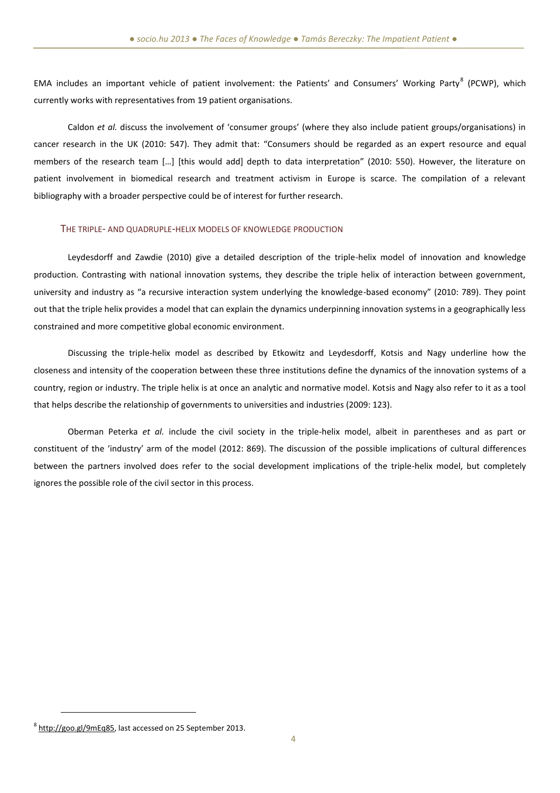EMA includes an important vehicle of patient involvement: the Patients' and Consumers' Working Party<sup>8</sup> (PCWP), which currently works with representatives from 19 patient organisations.

Caldon *et al.* discuss the involvement of 'consumer groups' (where they also include patient groups/organisations) in cancer research in the UK (2010: 547). They admit that: "Consumers should be regarded as an expert resource and equal members of the research team […] [this would add] depth to data interpretation" (2010: 550). However, the literature on patient involvement in biomedical research and treatment activism in Europe is scarce. The compilation of a relevant bibliography with a broader perspective could be of interest for further research.

#### THE TRIPLE- AND QUADRUPLE-HELIX MODELS OF KNOWLEDGE PRODUCTION

Leydesdorff and Zawdie (2010) give a detailed description of the triple-helix model of innovation and knowledge production. Contrasting with national innovation systems, they describe the triple helix of interaction between government, university and industry as "a recursive interaction system underlying the knowledge-based economy" (2010: 789). They point out that the triple helix provides a model that can explain the dynamics underpinning innovation systems in a geographically less constrained and more competitive global economic environment.

Discussing the triple-helix model as described by Etkowitz and Leydesdorff, Kotsis and Nagy underline how the closeness and intensity of the cooperation between these three institutions define the dynamics of the innovation systems of a country, region or industry. The triple helix is at once an analytic and normative model. Kotsis and Nagy also refer to it as a tool that helps describe the relationship of governments to universities and industries (2009: 123).

Oberman Peterka *et al.* include the civil society in the triple-helix model, albeit in parentheses and as part or constituent of the 'industry' arm of the model (2012: 869). The discussion of the possible implications of cultural differences between the partners involved does refer to the social development implications of the triple-helix model, but completely ignores the possible role of the civil sector in this process.

<sup>&</sup>lt;sup>8</sup> [http://goo.gl/9mEq85,](http://goo.gl/9mEq85) last accessed on 25 September 2013.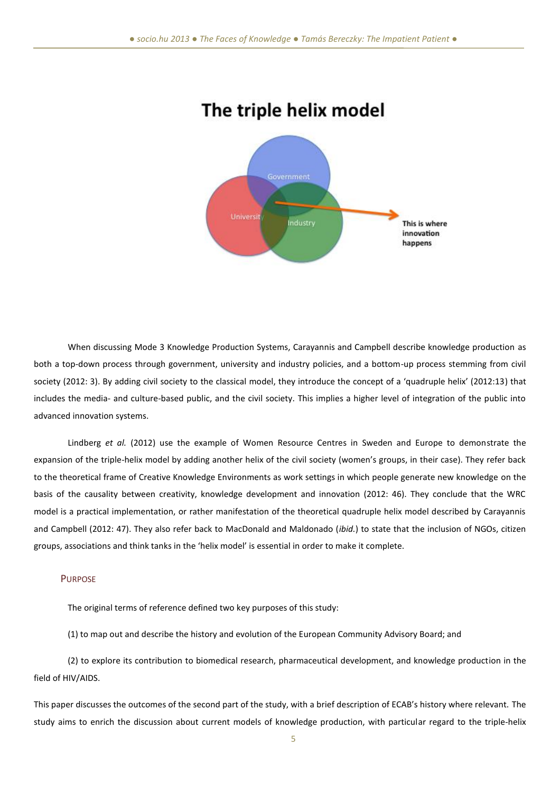

# The triple helix model

When discussing Mode 3 Knowledge Production Systems, Carayannis and Campbell describe knowledge production as both a top-down process through government, university and industry policies, and a bottom-up process stemming from civil society (2012: 3). By adding civil society to the classical model, they introduce the concept of a 'quadruple helix' (2012:13) that includes the media- and culture-based public, and the civil society. This implies a higher level of integration of the public into advanced innovation systems.

Lindberg *et al.* (2012) use the example of Women Resource Centres in Sweden and Europe to demonstrate the expansion of the triple-helix model by adding another helix of the civil society (women's groups, in their case). They refer back to the theoretical frame of Creative Knowledge Environments as work settings in which people generate new knowledge on the basis of the causality between creativity, knowledge development and innovation (2012: 46). They conclude that the WRC model is a practical implementation, or rather manifestation of the theoretical quadruple helix model described by Carayannis and Campbell (2012: 47). They also refer back to MacDonald and Maldonado (*ibid.*) to state that the inclusion of NGOs, citizen groups, associations and think tanks in the 'helix model' is essential in order to make it complete.

#### **PURPOSE**

The original terms of reference defined two key purposes of this study:

(1) to map out and describe the history and evolution of the European Community Advisory Board; and

(2) to explore its contribution to biomedical research, pharmaceutical development, and knowledge production in the field of HIV/AIDS.

This paper discusses the outcomes of the second part of the study, with a brief description of ECAB's history where relevant. The study aims to enrich the discussion about current models of knowledge production, with particular regard to the triple-helix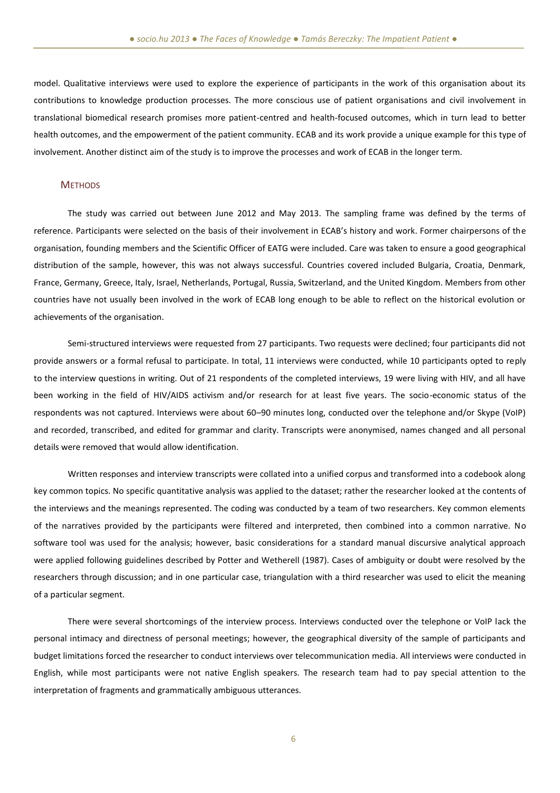model. Qualitative interviews were used to explore the experience of participants in the work of this organisation about its contributions to knowledge production processes. The more conscious use of patient organisations and civil involvement in translational biomedical research promises more patient-centred and health-focused outcomes, which in turn lead to better health outcomes, and the empowerment of the patient community. ECAB and its work provide a unique example for this type of involvement. Another distinct aim of the study is to improve the processes and work of ECAB in the longer term.

#### **METHODS**

The study was carried out between June 2012 and May 2013. The sampling frame was defined by the terms of reference. Participants were selected on the basis of their involvement in ECAB's history and work. Former chairpersons of the organisation, founding members and the Scientific Officer of EATG were included. Care was taken to ensure a good geographical distribution of the sample, however, this was not always successful. Countries covered included Bulgaria, Croatia, Denmark, France, Germany, Greece, Italy, Israel, Netherlands, Portugal, Russia, Switzerland, and the United Kingdom. Members from other countries have not usually been involved in the work of ECAB long enough to be able to reflect on the historical evolution or achievements of the organisation.

Semi-structured interviews were requested from 27 participants. Two requests were declined; four participants did not provide answers or a formal refusal to participate. In total, 11 interviews were conducted, while 10 participants opted to reply to the interview questions in writing. Out of 21 respondents of the completed interviews, 19 were living with HIV, and all have been working in the field of HIV/AIDS activism and/or research for at least five years. The socio-economic status of the respondents was not captured. Interviews were about 60–90 minutes long, conducted over the telephone and/or Skype (VoIP) and recorded, transcribed, and edited for grammar and clarity. Transcripts were anonymised, names changed and all personal details were removed that would allow identification.

Written responses and interview transcripts were collated into a unified corpus and transformed into a codebook along key common topics. No specific quantitative analysis was applied to the dataset; rather the researcher looked at the contents of the interviews and the meanings represented. The coding was conducted by a team of two researchers. Key common elements of the narratives provided by the participants were filtered and interpreted, then combined into a common narrative. No software tool was used for the analysis; however, basic considerations for a standard manual discursive analytical approach were applied following guidelines described by Potter and Wetherell (1987). Cases of ambiguity or doubt were resolved by the researchers through discussion; and in one particular case, triangulation with a third researcher was used to elicit the meaning of a particular segment.

There were several shortcomings of the interview process. Interviews conducted over the telephone or VoIP lack the personal intimacy and directness of personal meetings; however, the geographical diversity of the sample of participants and budget limitations forced the researcher to conduct interviews over telecommunication media. All interviews were conducted in English, while most participants were not native English speakers. The research team had to pay special attention to the interpretation of fragments and grammatically ambiguous utterances.

6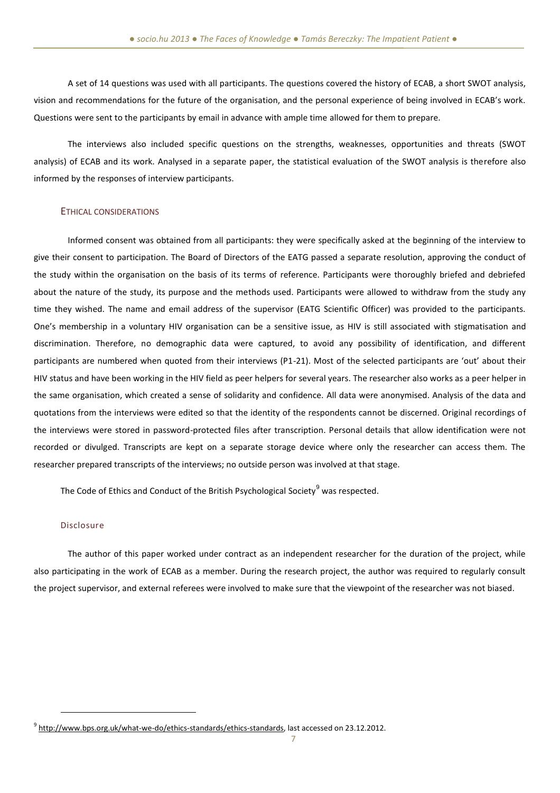A set of 14 questions was used with all participants. The questions covered the history of ECAB, a short SWOT analysis, vision and recommendations for the future of the organisation, and the personal experience of being involved in ECAB's work. Questions were sent to the participants by email in advance with ample time allowed for them to prepare.

The interviews also included specific questions on the strengths, weaknesses, opportunities and threats (SWOT analysis) of ECAB and its work. Analysed in a separate paper, the statistical evaluation of the SWOT analysis is therefore also informed by the responses of interview participants.

### ETHICAL CONSIDERATIONS

Informed consent was obtained from all participants: they were specifically asked at the beginning of the interview to give their consent to participation. The Board of Directors of the EATG passed a separate resolution, approving the conduct of the study within the organisation on the basis of its terms of reference. Participants were thoroughly briefed and debriefed about the nature of the study, its purpose and the methods used. Participants were allowed to withdraw from the study any time they wished. The name and email address of the supervisor (EATG Scientific Officer) was provided to the participants. One's membership in a voluntary HIV organisation can be a sensitive issue, as HIV is still associated with stigmatisation and discrimination. Therefore, no demographic data were captured, to avoid any possibility of identification, and different participants are numbered when quoted from their interviews (P1-21). Most of the selected participants are 'out' about their HIV status and have been working in the HIV field as peer helpers for several years. The researcher also works as a peer helper in the same organisation, which created a sense of solidarity and confidence. All data were anonymised. Analysis of the data and quotations from the interviews were edited so that the identity of the respondents cannot be discerned. Original recordings of the interviews were stored in password-protected files after transcription. Personal details that allow identification were not recorded or divulged. Transcripts are kept on a separate storage device where only the researcher can access them. The researcher prepared transcripts of the interviews; no outside person was involved at that stage.

The Code of Ethics and Conduct of the British Psychological Society<sup>9</sup> was respected.

#### Disclosure

 $\overline{a}$ 

The author of this paper worked under contract as an independent researcher for the duration of the project, while also participating in the work of ECAB as a member. During the research project, the author was required to regularly consult the project supervisor, and external referees were involved to make sure that the viewpoint of the researcher was not biased.

<sup>&</sup>lt;sup>9</sup> [http://www.bps.org.uk/what-we-do/ethics-standards/ethics-standards,](http://www.bps.org.uk/what-we-do/ethics-standards/ethics-standards) last accessed on 23.12.2012.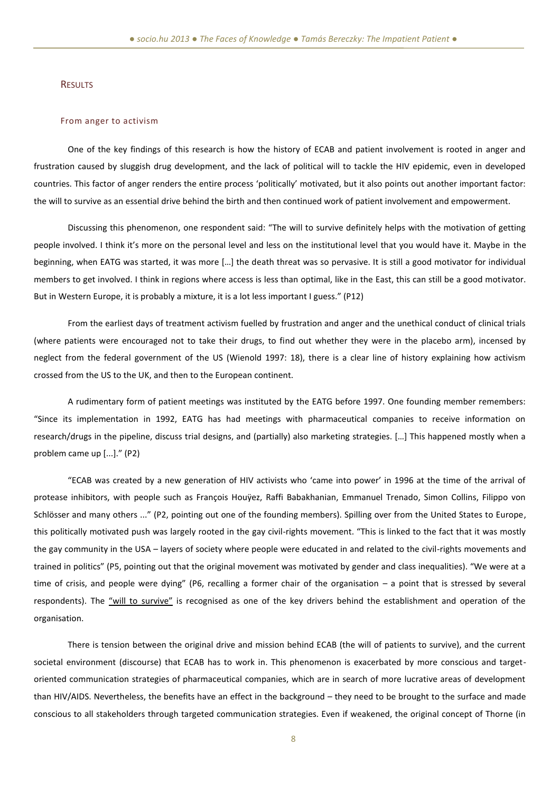#### RESULTS

#### From anger to activism

One of the key findings of this research is how the history of ECAB and patient involvement is rooted in anger and frustration caused by sluggish drug development, and the lack of political will to tackle the HIV epidemic, even in developed countries. This factor of anger renders the entire process 'politically' motivated, but it also points out another important factor: the will to survive as an essential drive behind the birth and then continued work of patient involvement and empowerment.

Discussing this phenomenon, one respondent said: "The will to survive definitely helps with the motivation of getting people involved. I think it's more on the personal level and less on the institutional level that you would have it. Maybe in the beginning, when EATG was started, it was more […] the death threat was so pervasive. It is still a good motivator for individual members to get involved. I think in regions where access is less than optimal, like in the East, this can still be a good motivator. But in Western Europe, it is probably a mixture, it is a lot less important I guess." (P12)

From the earliest days of treatment activism fuelled by frustration and anger and the unethical conduct of clinical trials (where patients were encouraged not to take their drugs, to find out whether they were in the placebo arm), incensed by neglect from the federal government of the US (Wienold 1997: 18), there is a clear line of history explaining how activism crossed from the US to the UK, and then to the European continent.

A rudimentary form of patient meetings was instituted by the EATG before 1997. One founding member remembers: "Since its implementation in 1992, EATG has had meetings with pharmaceutical companies to receive information on research/drugs in the pipeline, discuss trial designs, and (partially) also marketing strategies. […] This happened mostly when a problem came up [...]." (P2)

"ECAB was created by a new generation of HIV activists who 'came into power' in 1996 at the time of the arrival of protease inhibitors, with people such as François Houÿez, Raffi Babakhanian, Emmanuel Trenado, Simon Collins, Filippo von Schlösser and many others ..." (P2, pointing out one of the founding members). Spilling over from the United States to Europe, this politically motivated push was largely rooted in the gay civil-rights movement. "This is linked to the fact that it was mostly the gay community in the USA – layers of society where people were educated in and related to the civil-rights movements and trained in politics" (P5, pointing out that the original movement was motivated by gender and class inequalities). "We were at a time of crisis, and people were dying" (P6, recalling a former chair of the organisation – a point that is stressed by several respondents). The "will to survive" is recognised as one of the key drivers behind the establishment and operation of the organisation.

There is tension between the original drive and mission behind ECAB (the will of patients to survive), and the current societal environment (discourse) that ECAB has to work in. This phenomenon is exacerbated by more conscious and targetoriented communication strategies of pharmaceutical companies, which are in search of more lucrative areas of development than HIV/AIDS. Nevertheless, the benefits have an effect in the background – they need to be brought to the surface and made conscious to all stakeholders through targeted communication strategies. Even if weakened, the original concept of Thorne (in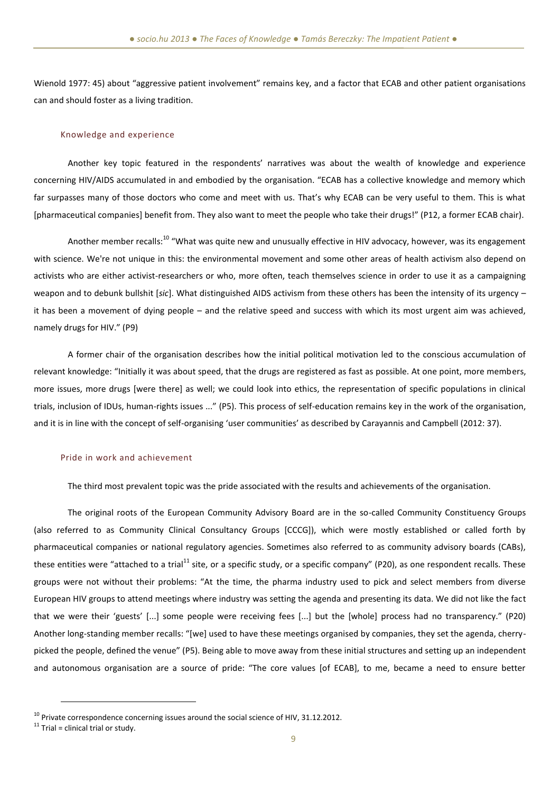Wienold 1977: 45) about "aggressive patient involvement" remains key, and a factor that ECAB and other patient organisations can and should foster as a living tradition.

#### Knowledge and experience

Another key topic featured in the respondents' narratives was about the wealth of knowledge and experience concerning HIV/AIDS accumulated in and embodied by the organisation. "ECAB has a collective knowledge and memory which far surpasses many of those doctors who come and meet with us. That's why ECAB can be very useful to them. This is what [pharmaceutical companies] benefit from. They also want to meet the people who take their drugs!" (P12, a former ECAB chair).

Another member recalls:<sup>10</sup> "What was quite new and unusually effective in HIV advocacy, however, was its engagement with science. We're not unique in this: the environmental movement and some other areas of health activism also depend on activists who are either activist-researchers or who, more often, teach themselves science in order to use it as a campaigning weapon and to debunk bullshit [*sic*]. What distinguished AIDS activism from these others has been the intensity of its urgency – it has been a movement of dying people – and the relative speed and success with which its most urgent aim was achieved, namely drugs for HIV." (P9)

A former chair of the organisation describes how the initial political motivation led to the conscious accumulation of relevant knowledge: "Initially it was about speed, that the drugs are registered as fast as possible. At one point, more members, more issues, more drugs [were there] as well; we could look into ethics, the representation of specific populations in clinical trials, inclusion of IDUs, human-rights issues ..." (P5). This process of self-education remains key in the work of the organisation, and it is in line with the concept of self-organising 'user communities' as described by Carayannis and Campbell (2012: 37).

#### Pride in work and achievement

The third most prevalent topic was the pride associated with the results and achievements of the organisation.

The original roots of the European Community Advisory Board are in the so-called Community Constituency Groups (also referred to as Community Clinical Consultancy Groups [CCCG]), which were mostly established or called forth by pharmaceutical companies or national regulatory agencies. Sometimes also referred to as community advisory boards (CABs), these entities were "attached to a trial<sup>11</sup> site, or a specific study, or a specific company" (P20), as one respondent recalls. These groups were not without their problems: "At the time, the pharma industry used to pick and select members from diverse European HIV groups to attend meetings where industry was setting the agenda and presenting its data. We did not like the fact that we were their 'guests' [...] some people were receiving fees [...] but the [whole] process had no transparency." (P20) Another long-standing member recalls: "[we] used to have these meetings organised by companies, they set the agenda, cherrypicked the people, defined the venue" (P5). Being able to move away from these initial structures and setting up an independent and autonomous organisation are a source of pride: "The core values [of ECAB], to me, became a need to ensure better

 $10$  Private correspondence concerning issues around the social science of HIV, 31.12.2012.

 $11$  Trial = clinical trial or study.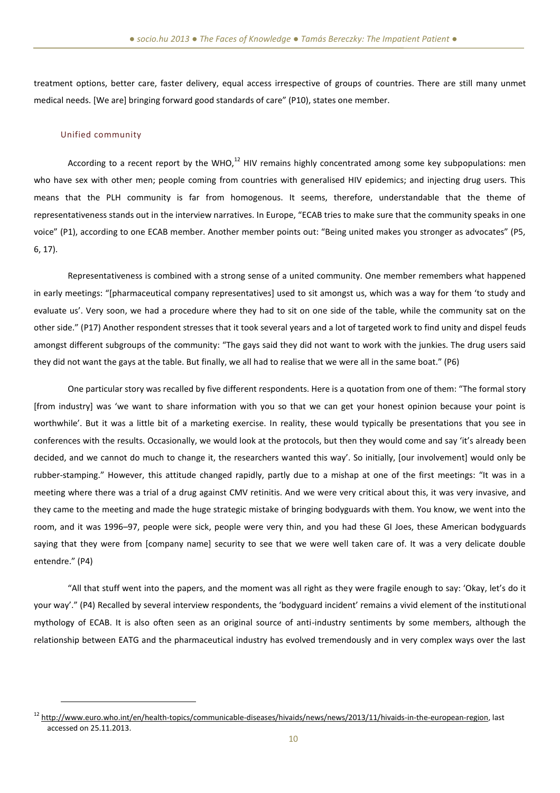treatment options, better care, faster delivery, equal access irrespective of groups of countries. There are still many unmet medical needs. [We are] bringing forward good standards of care" (P10), states one member.

#### Unified community

 $\overline{a}$ 

According to a recent report by the WHO, $^{12}$  HIV remains highly concentrated among some key subpopulations: men who have sex with other men; people coming from countries with generalised HIV epidemics; and injecting drug users. This means that the PLH community is far from homogenous. It seems, therefore, understandable that the theme of representativeness stands out in the interview narratives. In Europe, "ECAB tries to make sure that the community speaks in one voice" (P1), according to one ECAB member. Another member points out: "Being united makes you stronger as advocates" (P5, 6, 17).

Representativeness is combined with a strong sense of a united community. One member remembers what happened in early meetings: "[pharmaceutical company representatives] used to sit amongst us, which was a way for them 'to study and evaluate us'. Very soon, we had a procedure where they had to sit on one side of the table, while the community sat on the other side." (P17) Another respondent stresses that it took several years and a lot of targeted work to find unity and dispel feuds amongst different subgroups of the community: "The gays said they did not want to work with the junkies. The drug users said they did not want the gays at the table. But finally, we all had to realise that we were all in the same boat." (P6)

One particular story was recalled by five different respondents. Here is a quotation from one of them: "The formal story [from industry] was 'we want to share information with you so that we can get your honest opinion because your point is worthwhile'. But it was a little bit of a marketing exercise. In reality, these would typically be presentations that you see in conferences with the results. Occasionally, we would look at the protocols, but then they would come and say 'it's already been decided, and we cannot do much to change it, the researchers wanted this way'. So initially, [our involvement] would only be rubber-stamping." However, this attitude changed rapidly, partly due to a mishap at one of the first meetings: "It was in a meeting where there was a trial of a drug against CMV retinitis. And we were very critical about this, it was very invasive, and they came to the meeting and made the huge strategic mistake of bringing bodyguards with them. You know, we went into the room, and it was 1996–97, people were sick, people were very thin, and you had these GI Joes, these American bodyguards saying that they were from [company name] security to see that we were well taken care of. It was a very delicate double entendre." (P4)

"All that stuff went into the papers, and the moment was all right as they were fragile enough to say: 'Okay, let's do it your way'." (P4) Recalled by several interview respondents, the 'bodyguard incident' remains a vivid element of the institutional mythology of ECAB. It is also often seen as an original source of anti-industry sentiments by some members, although the relationship between EATG and the pharmaceutical industry has evolved tremendously and in very complex ways over the last

<sup>&</sup>lt;sup>12</sup> [http://www.euro.who.int/en/health-topics/communicable-diseases/hivaids/news/news/2013/11/hivaids-in-the-european-region,](http://www.euro.who.int/en/health-topics/communicable-diseases/hivaids/news/news/2013/11/hivaids-in-the-european-region) last accessed on 25.11.2013.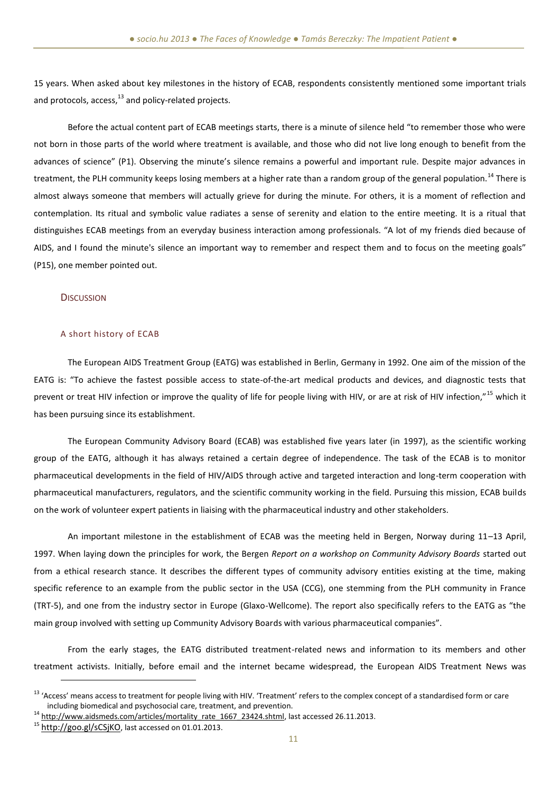15 years. When asked about key milestones in the history of ECAB, respondents consistently mentioned some important trials and protocols,  $access<sub>13</sub>$  and policy-related projects.

Before the actual content part of ECAB meetings starts, there is a minute of silence held "to remember those who were not born in those parts of the world where treatment is available, and those who did not live long enough to benefit from the advances of science" (P1). Observing the minute's silence remains a powerful and important rule. Despite major advances in treatment, the PLH community keeps losing members at a higher rate than a random group of the general population.<sup>14</sup> There is almost always someone that members will actually grieve for during the minute. For others, it is a moment of reflection and contemplation. Its ritual and symbolic value radiates a sense of serenity and elation to the entire meeting. It is a ritual that distinguishes ECAB meetings from an everyday business interaction among professionals. "A lot of my friends died because of AIDS, and I found the minute's silence an important way to remember and respect them and to focus on the meeting goals" (P15), one member pointed out.

#### **DISCUSSION**

#### A short history of ECAB

The European AIDS Treatment Group (EATG) was established in Berlin, Germany in 1992. One aim of the mission of the EATG is: "To achieve the fastest possible access to state-of-the-art medical products and devices, and diagnostic tests that prevent or treat HIV infection or improve the quality of life for people living with HIV, or are at risk of HIV infection,"<sup>15</sup> which it has been pursuing since its establishment.

The European Community Advisory Board (ECAB) was established five years later (in 1997), as the scientific working group of the EATG, although it has always retained a certain degree of independence. The task of the ECAB is to monitor pharmaceutical developments in the field of HIV/AIDS through active and targeted interaction and long-term cooperation with pharmaceutical manufacturers, regulators, and the scientific community working in the field. Pursuing this mission, ECAB builds on the work of volunteer expert patients in liaising with the pharmaceutical industry and other stakeholders.

An important milestone in the establishment of ECAB was the meeting held in Bergen, Norway during 11–13 April, 1997. When laying down the principles for work, the Bergen *Report on a workshop on Community Advisory Boards* started out from a ethical research stance. It describes the different types of community advisory entities existing at the time, making specific reference to an example from the public sector in the USA (CCG), one stemming from the PLH community in France (TRT-5), and one from the industry sector in Europe (Glaxo-Wellcome). The report also specifically refers to the EATG as "the main group involved with setting up Community Advisory Boards with various pharmaceutical companies".

From the early stages, the EATG distributed treatment-related news and information to its members and other treatment activists. Initially, before email and the internet became widespread, the European AIDS Treatment News was

<sup>&</sup>lt;sup>13</sup> 'Access' means access to treatment for people living with HIV. 'Treatment' refers to the complex concept of a standardised form or care including biomedical and psychosocial care, treatment, and prevention.

<sup>&</sup>lt;sup>14</sup> [http://www.aidsmeds.com/articles/mortality\\_rate\\_1667\\_23424.shtml,](http://www.aidsmeds.com/articles/mortality_rate_1667_23424.shtml) last accessed 26.11.2013.

<sup>15</sup> <http://goo.gl/sCSjKO>, last accessed on 01.01.2013.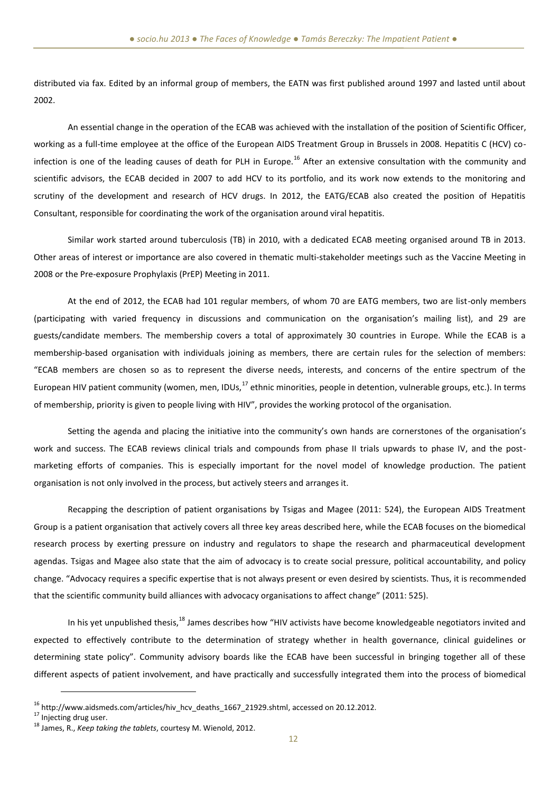distributed via fax. Edited by an informal group of members, the EATN was first published around 1997 and lasted until about 2002.

An essential change in the operation of the ECAB was achieved with the installation of the position of Scientific Officer, working as a full-time employee at the office of the European AIDS Treatment Group in Brussels in 2008. Hepatitis C (HCV) coinfection is one of the leading causes of death for PLH in Europe.<sup>16</sup> After an extensive consultation with the community and scientific advisors, the ECAB decided in 2007 to add HCV to its portfolio, and its work now extends to the monitoring and scrutiny of the development and research of HCV drugs. In 2012, the EATG/ECAB also created the position of Hepatitis Consultant, responsible for coordinating the work of the organisation around viral hepatitis.

Similar work started around tuberculosis (TB) in 2010, with a dedicated ECAB meeting organised around TB in 2013. Other areas of interest or importance are also covered in thematic multi-stakeholder meetings such as the Vaccine Meeting in 2008 or the Pre-exposure Prophylaxis (PrEP) Meeting in 2011.

At the end of 2012, the ECAB had 101 regular members, of whom 70 are EATG members, two are list-only members (participating with varied frequency in discussions and communication on the organisation's mailing list), and 29 are guests/candidate members. The membership covers a total of approximately 30 countries in Europe. While the ECAB is a membership-based organisation with individuals joining as members, there are certain rules for the selection of members: "ECAB members are chosen so as to represent the diverse needs, interests, and concerns of the entire spectrum of the European HIV patient community (women, men, IDUs, $^{17}$  ethnic minorities, people in detention, vulnerable groups, etc.). In terms of membership, priority is given to people living with HIV", provides the working protocol of the organisation.

Setting the agenda and placing the initiative into the community's own hands are cornerstones of the organisation's work and success. The ECAB reviews clinical trials and compounds from phase II trials upwards to phase IV, and the postmarketing efforts of companies. This is especially important for the novel model of knowledge production. The patient organisation is not only involved in the process, but actively steers and arranges it.

Recapping the description of patient organisations by Tsigas and Magee (2011: 524), the European AIDS Treatment Group is a patient organisation that actively covers all three key areas described here, while the ECAB focuses on the biomedical research process by exerting pressure on industry and regulators to shape the research and pharmaceutical development agendas. Tsigas and Magee also state that the aim of advocacy is to create social pressure, political accountability, and policy change. "Advocacy requires a specific expertise that is not always present or even desired by scientists. Thus, it is recommended that the scientific community build alliances with advocacy organisations to affect change" (2011: 525).

In his yet unpublished thesis,<sup>18</sup> James describes how "HIV activists have become knowledgeable negotiators invited and expected to effectively contribute to the determination of strategy whether in health governance, clinical guidelines or determining state policy". Community advisory boards like the ECAB have been successful in bringing together all of these different aspects of patient involvement, and have practically and successfully integrated them into the process of biomedical

<sup>&</sup>lt;sup>16</sup> [http://www.aidsmeds.com/articles/hiv\\_hcv\\_deaths\\_1667\\_21929.shtml,](file:///D:/socio.hu/AppData/Local/Microsoft/Windows/Temporary%20Internet%20Files/Content.IE5/I483J751/%22) accessed on 20.12.2012.

<sup>&</sup>lt;sup>17</sup> Injecting drug user.

<sup>18</sup> James, R., *Keep taking the tablets*, courtesy M. Wienold, 2012.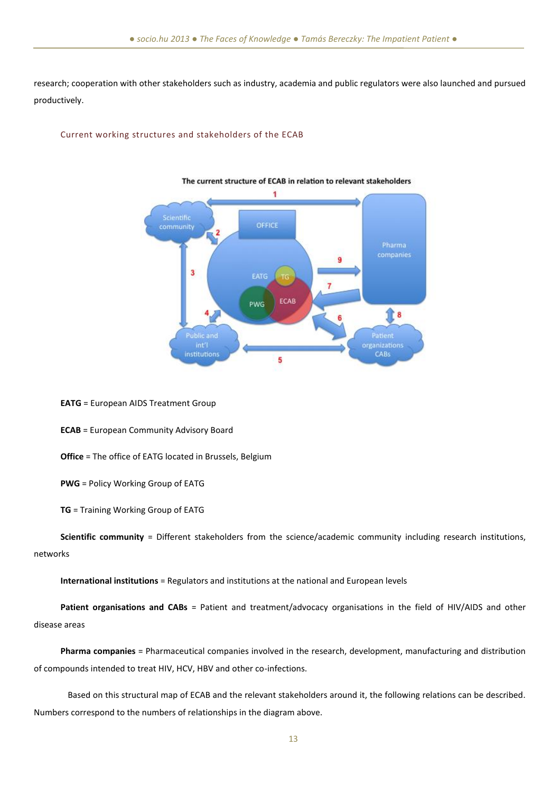research; cooperation with other stakeholders such as industry, academia and public regulators were also launched and pursued productively.

#### Current working structures and stakeholders of the ECAB



## The current structure of ECAB in relation to relevant stakeholders

**EATG** = European AIDS Treatment Group

**ECAB** = European Community Advisory Board

**Office** = The office of EATG located in Brussels, Belgium

**PWG** = Policy Working Group of EATG

**TG** = Training Working Group of EATG

**Scientific community** = Different stakeholders from the science/academic community including research institutions, networks

**International institutions** = Regulators and institutions at the national and European levels

**Patient organisations and CABs** = Patient and treatment/advocacy organisations in the field of HIV/AIDS and other disease areas

**Pharma companies** = Pharmaceutical companies involved in the research, development, manufacturing and distribution of compounds intended to treat HIV, HCV, HBV and other co-infections.

Based on this structural map of ECAB and the relevant stakeholders around it, the following relations can be described. Numbers correspond to the numbers of relationships in the diagram above.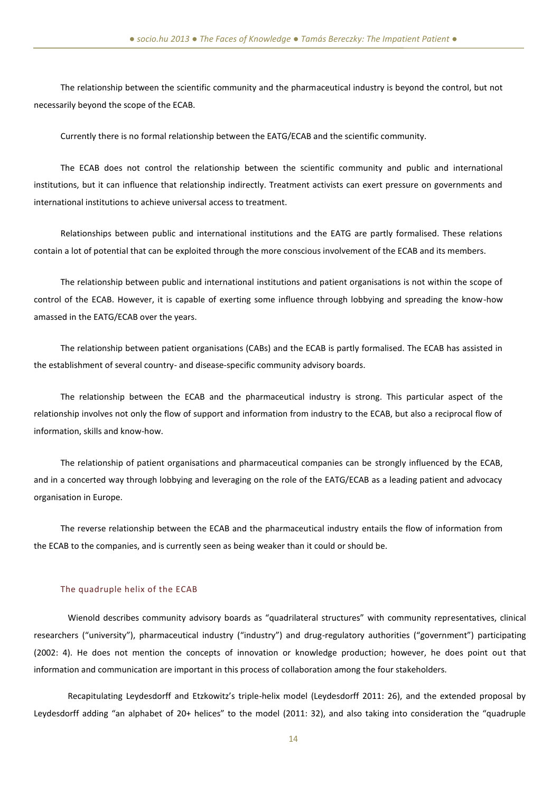The relationship between the scientific community and the pharmaceutical industry is beyond the control, but not necessarily beyond the scope of the ECAB.

Currently there is no formal relationship between the EATG/ECAB and the scientific community.

The ECAB does not control the relationship between the scientific community and public and international institutions, but it can influence that relationship indirectly. Treatment activists can exert pressure on governments and international institutions to achieve universal access to treatment.

Relationships between public and international institutions and the EATG are partly formalised. These relations contain a lot of potential that can be exploited through the more conscious involvement of the ECAB and its members.

The relationship between public and international institutions and patient organisations is not within the scope of control of the ECAB. However, it is capable of exerting some influence through lobbying and spreading the know-how amassed in the EATG/ECAB over the years.

The relationship between patient organisations (CABs) and the ECAB is partly formalised. The ECAB has assisted in the establishment of several country- and disease-specific community advisory boards.

The relationship between the ECAB and the pharmaceutical industry is strong. This particular aspect of the relationship involves not only the flow of support and information from industry to the ECAB, but also a reciprocal flow of information, skills and know-how.

The relationship of patient organisations and pharmaceutical companies can be strongly influenced by the ECAB, and in a concerted way through lobbying and leveraging on the role of the EATG/ECAB as a leading patient and advocacy organisation in Europe.

The reverse relationship between the ECAB and the pharmaceutical industry entails the flow of information from the ECAB to the companies, and is currently seen as being weaker than it could or should be.

#### The quadruple helix of the ECAB

Wienold describes community advisory boards as "quadrilateral structures" with community representatives, clinical researchers ("university"), pharmaceutical industry ("industry") and drug-regulatory authorities ("government") participating (2002: 4). He does not mention the concepts of innovation or knowledge production; however, he does point out that information and communication are important in this process of collaboration among the four stakeholders.

Recapitulating Leydesdorff and Etzkowitz's triple-helix model (Leydesdorff 2011: 26), and the extended proposal by Leydesdorff adding "an alphabet of 20+ helices" to the model (2011: 32), and also taking into consideration the "quadruple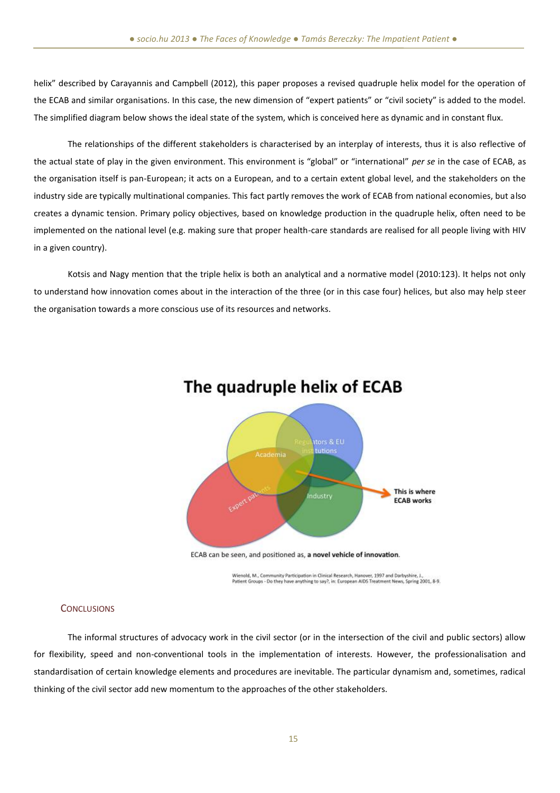helix" described by Carayannis and Campbell (2012), this paper proposes a revised quadruple helix model for the operation of the ECAB and similar organisations. In this case, the new dimension of "expert patients" or "civil society" is added to the model. The simplified diagram below shows the ideal state of the system, which is conceived here as dynamic and in constant flux.

The relationships of the different stakeholders is characterised by an interplay of interests, thus it is also reflective of the actual state of play in the given environment. This environment is "global" or "international" *per se* in the case of ECAB, as the organisation itself is pan-European; it acts on a European, and to a certain extent global level, and the stakeholders on the industry side are typically multinational companies. This fact partly removes the work of ECAB from national economies, but also creates a dynamic tension. Primary policy objectives, based on knowledge production in the quadruple helix, often need to be implemented on the national level (e.g. making sure that proper health-care standards are realised for all people living with HIV in a given country).

Kotsis and Nagy mention that the triple helix is both an analytical and a normative model (2010:123). It helps not only to understand how innovation comes about in the interaction of the three (or in this case four) helices, but also may help steer the organisation towards a more conscious use of its resources and networks.



## The quadruple helix of ECAB

ECAB can be seen, and positioned as, a novel vehicle of innovation.

.<br>Wienold, M., Community Participation in Clinical Research, Hanover, 1997 and Darbyshire, J.,<br>Patient Groups - Do they have anything to say?, in: European AIDS Treatment News, Spring 2001, 8-9.

### **CONCLUSIONS**

The informal structures of advocacy work in the civil sector (or in the intersection of the civil and public sectors) allow for flexibility, speed and non-conventional tools in the implementation of interests. However, the professionalisation and standardisation of certain knowledge elements and procedures are inevitable. The particular dynamism and, sometimes, radical thinking of the civil sector add new momentum to the approaches of the other stakeholders.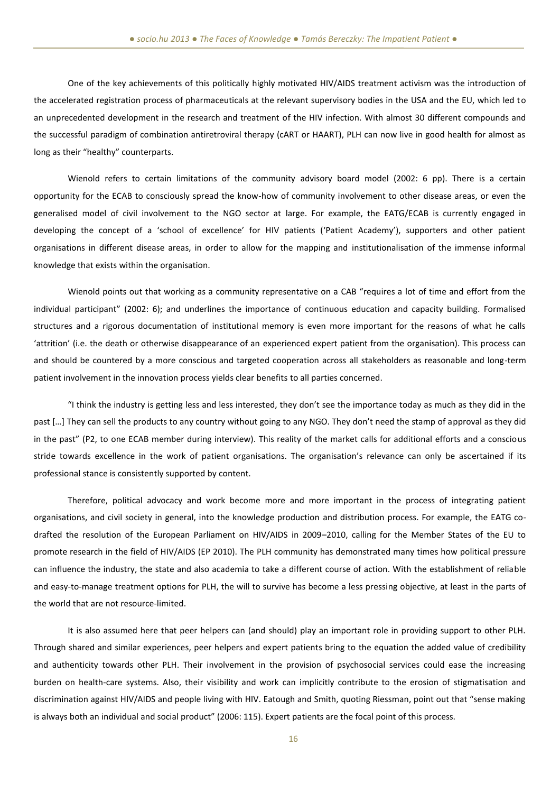One of the key achievements of this politically highly motivated HIV/AIDS treatment activism was the introduction of the accelerated registration process of pharmaceuticals at the relevant supervisory bodies in the USA and the EU, which led to an unprecedented development in the research and treatment of the HIV infection. With almost 30 different compounds and the successful paradigm of combination antiretroviral therapy (cART or HAART), PLH can now live in good health for almost as long as their "healthy" counterparts.

Wienold refers to certain limitations of the community advisory board model (2002: 6 pp). There is a certain opportunity for the ECAB to consciously spread the know-how of community involvement to other disease areas, or even the generalised model of civil involvement to the NGO sector at large. For example, the EATG/ECAB is currently engaged in developing the concept of a 'school of excellence' for HIV patients ('Patient Academy'), supporters and other patient organisations in different disease areas, in order to allow for the mapping and institutionalisation of the immense informal knowledge that exists within the organisation.

Wienold points out that working as a community representative on a CAB "requires a lot of time and effort from the individual participant" (2002: 6); and underlines the importance of continuous education and capacity building. Formalised structures and a rigorous documentation of institutional memory is even more important for the reasons of what he calls 'attrition' (i.e. the death or otherwise disappearance of an experienced expert patient from the organisation). This process can and should be countered by a more conscious and targeted cooperation across all stakeholders as reasonable and long-term patient involvement in the innovation process yields clear benefits to all parties concerned.

"I think the industry is getting less and less interested, they don't see the importance today as much as they did in the past […] They can sell the products to any country without going to any NGO. They don't need the stamp of approval as they did in the past" (P2, to one ECAB member during interview). This reality of the market calls for additional efforts and a conscious stride towards excellence in the work of patient organisations. The organisation's relevance can only be ascertained if its professional stance is consistently supported by content.

Therefore, political advocacy and work become more and more important in the process of integrating patient organisations, and civil society in general, into the knowledge production and distribution process. For example, the EATG codrafted the resolution of the European Parliament on HIV/AIDS in 2009–2010, calling for the Member States of the EU to promote research in the field of HIV/AIDS (EP 2010). The PLH community has demonstrated many times how political pressure can influence the industry, the state and also academia to take a different course of action. With the establishment of reliable and easy-to-manage treatment options for PLH, the will to survive has become a less pressing objective, at least in the parts of the world that are not resource-limited.

It is also assumed here that peer helpers can (and should) play an important role in providing support to other PLH. Through shared and similar experiences, peer helpers and expert patients bring to the equation the added value of credibility and authenticity towards other PLH. Their involvement in the provision of psychosocial services could ease the increasing burden on health-care systems. Also, their visibility and work can implicitly contribute to the erosion of stigmatisation and discrimination against HIV/AIDS and people living with HIV. Eatough and Smith, quoting Riessman, point out that "sense making is always both an individual and social product" (2006: 115). Expert patients are the focal point of this process.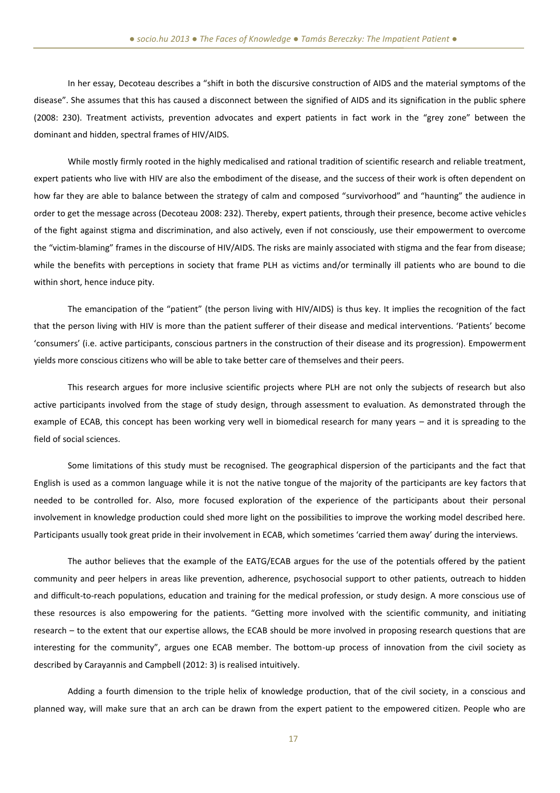In her essay, Decoteau describes a "shift in both the discursive construction of AIDS and the material symptoms of the disease". She assumes that this has caused a disconnect between the signified of AIDS and its signification in the public sphere (2008: 230). Treatment activists, prevention advocates and expert patients in fact work in the "grey zone" between the dominant and hidden, spectral frames of HIV/AIDS.

While mostly firmly rooted in the highly medicalised and rational tradition of scientific research and reliable treatment, expert patients who live with HIV are also the embodiment of the disease, and the success of their work is often dependent on how far they are able to balance between the strategy of calm and composed "survivorhood" and "haunting" the audience in order to get the message across (Decoteau 2008: 232). Thereby, expert patients, through their presence, become active vehicles of the fight against stigma and discrimination, and also actively, even if not consciously, use their empowerment to overcome the "victim-blaming" frames in the discourse of HIV/AIDS. The risks are mainly associated with stigma and the fear from disease; while the benefits with perceptions in society that frame PLH as victims and/or terminally ill patients who are bound to die within short, hence induce pity.

The emancipation of the "patient" (the person living with HIV/AIDS) is thus key. It implies the recognition of the fact that the person living with HIV is more than the patient sufferer of their disease and medical interventions. 'Patients' become 'consumers' (i.e. active participants, conscious partners in the construction of their disease and its progression). Empowerment yields more conscious citizens who will be able to take better care of themselves and their peers.

This research argues for more inclusive scientific projects where PLH are not only the subjects of research but also active participants involved from the stage of study design, through assessment to evaluation. As demonstrated through the example of ECAB, this concept has been working very well in biomedical research for many years – and it is spreading to the field of social sciences.

Some limitations of this study must be recognised. The geographical dispersion of the participants and the fact that English is used as a common language while it is not the native tongue of the majority of the participants are key factors that needed to be controlled for. Also, more focused exploration of the experience of the participants about their personal involvement in knowledge production could shed more light on the possibilities to improve the working model described here. Participants usually took great pride in their involvement in ECAB, which sometimes 'carried them away' during the interviews.

The author believes that the example of the EATG/ECAB argues for the use of the potentials offered by the patient community and peer helpers in areas like prevention, adherence, psychosocial support to other patients, outreach to hidden and difficult-to-reach populations, education and training for the medical profession, or study design. A more conscious use of these resources is also empowering for the patients. "Getting more involved with the scientific community, and initiating research – to the extent that our expertise allows, the ECAB should be more involved in proposing research questions that are interesting for the community", argues one ECAB member. The bottom-up process of innovation from the civil society as described by Carayannis and Campbell (2012: 3) is realised intuitively.

Adding a fourth dimension to the triple helix of knowledge production, that of the civil society, in a conscious and planned way, will make sure that an arch can be drawn from the expert patient to the empowered citizen. People who are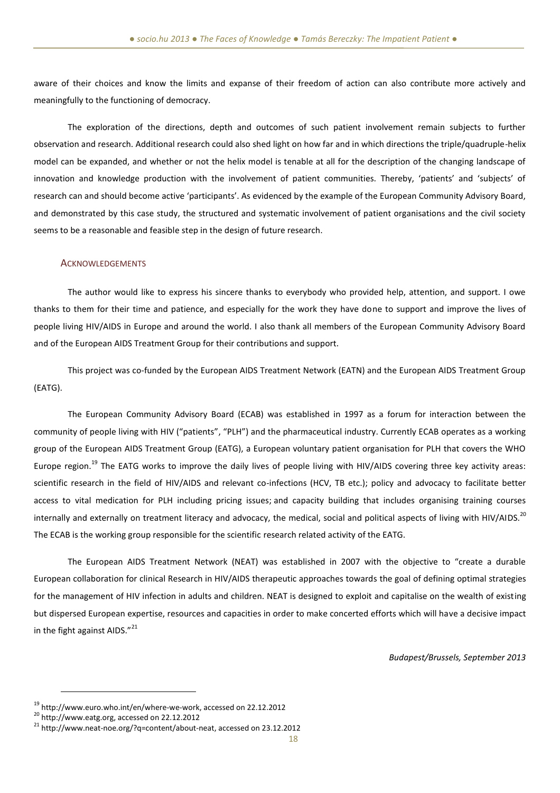aware of their choices and know the limits and expanse of their freedom of action can also contribute more actively and meaningfully to the functioning of democracy.

The exploration of the directions, depth and outcomes of such patient involvement remain subjects to further observation and research. Additional research could also shed light on how far and in which directions the triple/quadruple-helix model can be expanded, and whether or not the helix model is tenable at all for the description of the changing landscape of innovation and knowledge production with the involvement of patient communities. Thereby, 'patients' and 'subjects' of research can and should become active 'participants'. As evidenced by the example of the European Community Advisory Board, and demonstrated by this case study, the structured and systematic involvement of patient organisations and the civil society seems to be a reasonable and feasible step in the design of future research.

#### ACKNOWLEDGEMENTS

The author would like to express his sincere thanks to everybody who provided help, attention, and support. I owe thanks to them for their time and patience, and especially for the work they have done to support and improve the lives of people living HIV/AIDS in Europe and around the world. I also thank all members of the European Community Advisory Board and of the European AIDS Treatment Group for their contributions and support.

This project was co-funded by the European AIDS Treatment Network (EATN) and the European AIDS Treatment Group (EATG).

The European Community Advisory Board (ECAB) was established in 1997 as a forum for interaction between the community of people living with HIV ("patients", "PLH") and the pharmaceutical industry. Currently ECAB operates as a working group of the European AIDS Treatment Group (EATG), a European voluntary patient organisation for PLH that covers the WHO Europe region.<sup>19</sup> The EATG works to improve the daily lives of people living with HIV/AIDS covering three key activity areas: scientific research in the field of HIV/AIDS and relevant co-infections (HCV, TB etc.); policy and advocacy to facilitate better access to vital medication for PLH including pricing issues; and capacity building that includes organising training courses internally and externally on treatment literacy and advocacy, the medical, social and political aspects of living with HIV/AIDS.<sup>20</sup> The ECAB is the working group responsible for the scientific research related activity of the EATG.

The European AIDS Treatment Network (NEAT) was established in 2007 with the objective to "create a durable European collaboration for clinical Research in HIV/AIDS therapeutic approaches towards the goal of defining optimal strategies for the management of HIV infection in adults and children. NEAT is designed to exploit and capitalise on the wealth of existing but dispersed European expertise, resources and capacities in order to make concerted efforts which will have a decisive impact in the fight against AIDS. $"^{21}$ 

*Budapest/Brussels, September 2013*

<sup>19</sup> [http://www.euro.who.int/en/where-we-work,](http://www.euro.who.int/en/where-we-work) accessed on 22.12.2012

<sup>20</sup> [http://www.eatg.org,](file:///D:/socio.hu/AppData/Local/Microsoft/Windows/Temporary%20Internet%20Files/Content.IE5/I483J751/%22) accessed on 22.12.2012

<sup>21</sup> [http://www.neat-noe.org/?q=content/about-neat,](file:///D:/socio.hu/AppData/Local/Microsoft/Windows/Temporary%20Internet%20Files/Content.IE5/I483J751/%22) accessed on 23.12.2012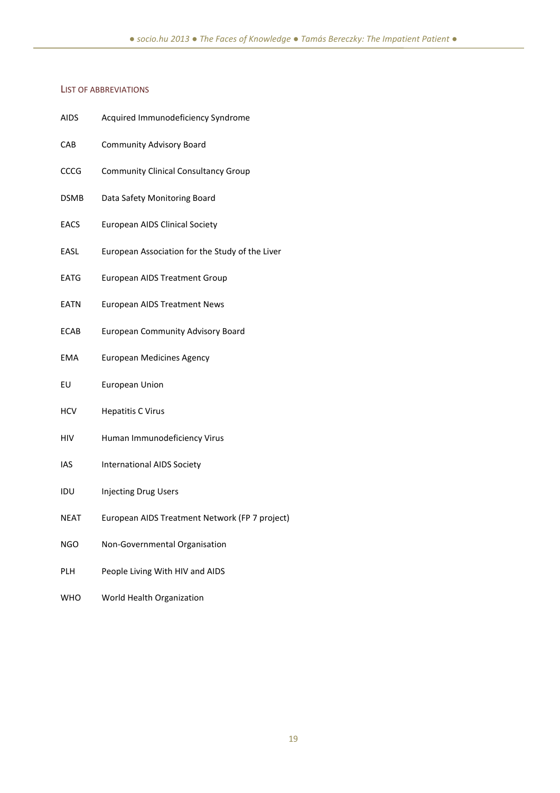## LIST OF ABBREVIATIONS

| <b>AIDS</b> | Acquired Immunodeficiency Syndrome              |
|-------------|-------------------------------------------------|
| CAB         | <b>Community Advisory Board</b>                 |
| CCCG        | <b>Community Clinical Consultancy Group</b>     |
| <b>DSMB</b> | Data Safety Monitoring Board                    |
| <b>EACS</b> | <b>European AIDS Clinical Society</b>           |
| EASL        | European Association for the Study of the Liver |
| <b>EATG</b> | European AIDS Treatment Group                   |
| EATN        | <b>European AIDS Treatment News</b>             |
| <b>ECAB</b> | <b>European Community Advisory Board</b>        |
| EMA         | <b>European Medicines Agency</b>                |
| EU          | <b>European Union</b>                           |
| <b>HCV</b>  | <b>Hepatitis C Virus</b>                        |
| HIV         | Human Immunodeficiency Virus                    |
| IAS         | <b>International AIDS Society</b>               |
| IDU         | <b>Injecting Drug Users</b>                     |
| NEAT        | European AIDS Treatment Network (FP 7 project)  |
| NGO.        | Non-Governmental Organisation                   |
| PLH         | People Living With HIV and AIDS                 |

WHO World Health Organization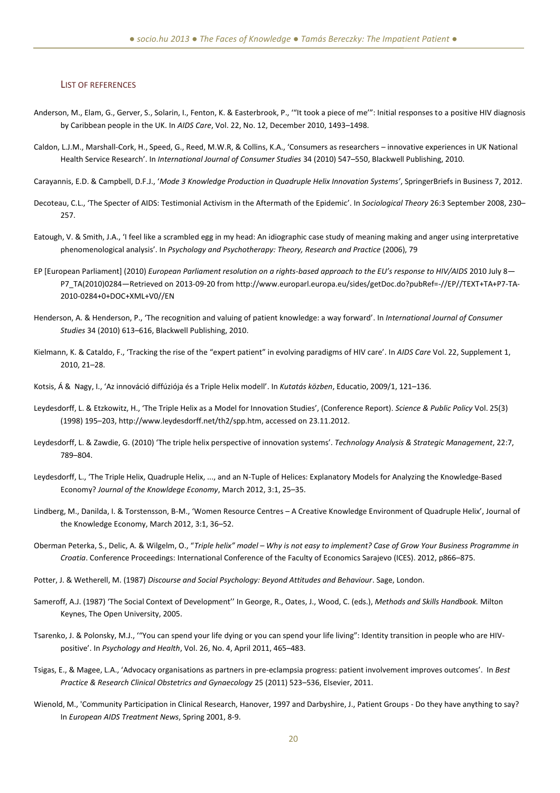#### LIST OF REFERENCES

- Anderson, M., Elam, G., Gerver, S., Solarin, I., Fenton, K. & Easterbrook, P., '"It took a piece of me'": Initial responses to a positive HIV diagnosis by Caribbean people in the UK. In *AIDS Care*, Vol. 22, No. 12, December 2010, 1493–1498.
- Caldon, L.J.M., Marshall-Cork, H., Speed, G., Reed, M.W.R, & Collins, K.A., 'Consumers as researchers innovative experiences in UK National Health Service Research'. In *International Journal of Consumer Studies* 34 (2010) 547–550, Blackwell Publishing, 2010.
- Carayannis, E.D. & Campbell, D.F.J., '*Mode 3 Knowledge Production in Quadruple Helix Innovation Systems'*, SpringerBriefs in Business 7, 2012.
- Decoteau, C.L., 'The Specter of AIDS: Testimonial Activism in the Aftermath of the Epidemic'. In *Sociological Theory* 26:3 September 2008, 230– 257.
- Eatough, V. & Smith, J.A., 'I feel like a scrambled egg in my head: An idiographic case study of meaning making and anger using interpretative phenomenological analysis'. In *Psychology and Psychotherapy: Theory, Research and Practice* (2006), 79
- EP [European Parliament] (2010) *European Parliament resolution on a rights-based approach to the EU's response to HIV/AIDS* 2010 July 8— P7\_TA(2010)0284—Retrieved on 2013-09-20 from http://www.europarl.europa.eu/sides/getDoc.do?pubRef=-//EP//TEXT+TA+P7-TA-2010-0284+0+DOC+XML+V0//EN
- Henderson, A. & Henderson, P., 'The recognition and valuing of patient knowledge: a way forward'. In *International Journal of Consumer Studies* 34 (2010) 613–616, Blackwell Publishing, 2010.
- Kielmann, K. & Cataldo, F., 'Tracking the rise of the "expert patient" in evolving paradigms of HIV care'. In *AIDS Care* Vol. 22, Supplement 1, 2010, 21–28.
- Kotsis, Á & Nagy, I., 'Az innováció diffúziója és a Triple Helix modell'. In *Kutatás közben*, Educatio, 2009/1, 121–136.
- Leydesdorff, L. & Etzkowitz, H., 'The Triple Helix as a Model for Innovation Studies', (Conference Report). *Science & Public Policy* Vol. 25(3) (1998) 195–203, http://www.leydesdorff.net/th2/spp.htm, accessed on 23.11.2012.
- Leydesdorff, L. & Zawdie, G. (2010) 'The triple helix perspective of innovation systems'. *Technology Analysis & Strategic Management*, 22:7, 789–804.
- Leydesdorff, L., 'The Triple Helix, Quadruple Helix, ..., and an N-Tuple of Helices: Explanatory Models for Analyzing the Knowledge-Based Economy? *Journal of the Knowldege Economy*, March 2012, 3:1, 25–35.
- Lindberg, M., Danilda, I. & Torstensson, B-M., 'Women Resource Centres A Creative Knowledge Environment of Quadruple Helix', Journal of the Knowledge Economy, March 2012, 3:1, 36–52.
- Oberman Peterka, S., Delic, A. & Wilgelm, O., "*Triple helix" model – Why is not easy to implement? Case of Grow Your Business Programme in Croatia*. Conference Proceedings: International Conference of the Faculty of Economics Sarajevo (ICES). 2012, p866–875.
- Potter, J. & Wetherell, M. (1987) *Discourse and Social Psychology: Beyond Attitudes and Behaviour*. Sage, London.
- Sameroff, A.J. (1987) 'The Social Context of Development'' In George, R., Oates, J., Wood, C. (eds.), *Methods and Skills Handbook.* Milton Keynes, The Open University, 2005.
- Tsarenko, J. & Polonsky, M.J., '"You can spend your life dying or you can spend your life living": Identity transition in people who are HIVpositive'. In *Psychology and Health*, Vol. 26, No. 4, April 2011, 465–483.
- Tsigas, E., & Magee, L.A., 'Advocacy organisations as partners in pre-eclampsia progress: patient involvement improves outcomes'. In *Best Practice & Research Clinical Obstetrics and Gynaecology* 25 (2011) 523–536, Elsevier, 2011.
- Wienold, M., 'Community Participation in Clinical Research, Hanover, 1997 and Darbyshire, J., Patient Groups Do they have anything to say? In *European AIDS Treatment News*, Spring 2001, 8-9.